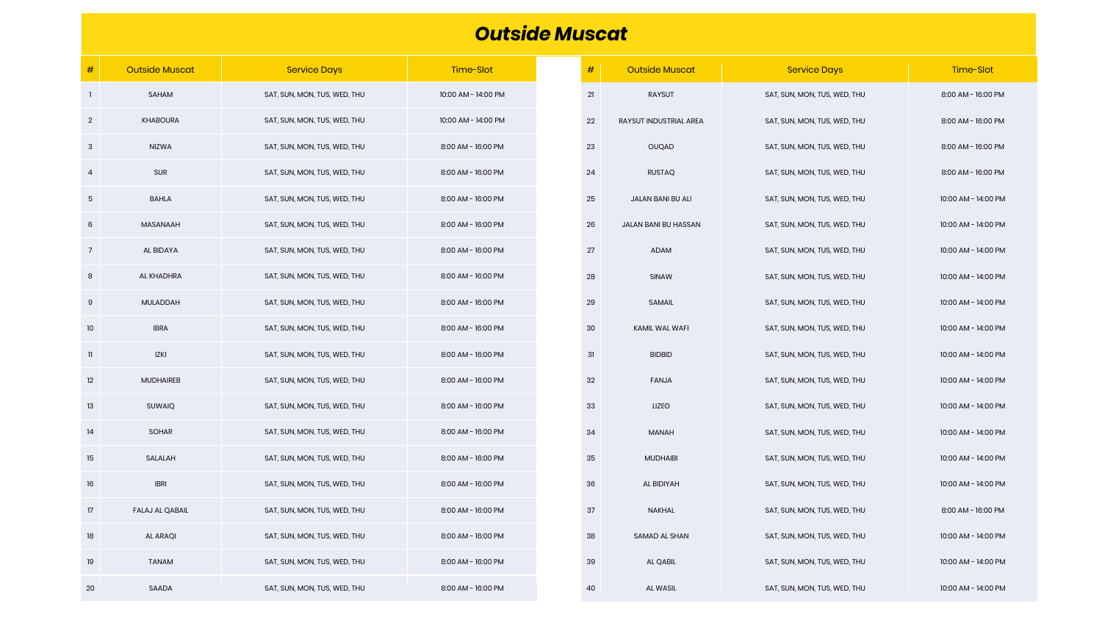| $\#$           | <b>Outside Muscat</b>  | <b>Service Days</b>          | Time-Slot           | $\#$ | <b>Outside Muscat</b>  |
|----------------|------------------------|------------------------------|---------------------|------|------------------------|
| -1             | SAHAM                  | SAT, SUN, MON, TUS, WED, THU | 10:00 AM - 14:00 PM | 21   | <b>RAYSUT</b>          |
| $\overline{2}$ | <b>KHABOURA</b>        | SAT, SUN, MON, TUS, WED, THU | 10:00 AM - 14:00 PM | 22   | RAYSUT INDUSTRIAL AREA |
| 3              | <b>NIZWA</b>           | SAT, SUN, MON, TUS, WED, THU | 8:00 AM - 16:00 PM  | 23   | <b>OUQAD</b>           |
| $\overline{a}$ | <b>SUR</b>             | SAT, SUN, MON, TUS, WED, THU | 8:00 AM - 16:00 PM  | 24   | <b>RUSTAQ</b>          |
| 5              | <b>BAHLA</b>           | SAT, SUN, MON, TUS, WED, THU | 8:00 AM - 16:00 PM  | 25   | JALAN BANI BU ALI      |
| 6              | <b>MASANAAH</b>        | SAT, SUN, MON, TUS, WED, THU | 8:00 AM - 16:00 PM  | 26   | JALAN BANI BU HASSAN   |
| $\overline{7}$ | AL BIDAYA              | SAT, SUN, MON, TUS, WED, THU | 8:00 AM - 16:00 PM  | 27   | <b>ADAM</b>            |
| 8              | AL KHADHRA             | SAT, SUN, MON, TUS, WED, THU | 8:00 AM - 16:00 PM  | 28   | SINAW                  |
| $9\,$          | MULADDAH               | SAT, SUN, MON, TUS, WED, THU | 8:00 AM - 16:00 PM  | 29   | <b>SAMAIL</b>          |
| 10             | <b>IBRA</b>            | SAT, SUN, MON, TUS, WED, THU | 8:00 AM - 16:00 PM  | 30   | KAMIL WAL WAFI         |
| $\mathbf{I}$   | <b>IZKI</b>            | SAT, SUN, MON, TUS, WED, THU | 8:00 AM - 16:00 PM  | 31   | <b>BIDBID</b>          |
| 12             | <b>MUDHAIREB</b>       | SAT, SUN, MON, TUS, WED, THU | 8:00 AM - 16:00 PM  | 32   | <b>FANJA</b>           |
| 13             | <b>SUWAIQ</b>          | SAT, SUN, MON, TUS, WED, THU | 8:00 AM - 16:00 PM  | 33   | <b>LIZEG</b>           |
| 14             | <b>SOHAR</b>           | SAT, SUN, MON, TUS, WED, THU | 8:00 AM - 16:00 PM  | 34   | <b>MANAH</b>           |
| 15             | SALALAH                | SAT, SUN, MON, TUS, WED, THU | 8:00 AM - 16:00 PM  | 35   | <b>MUDHAIBI</b>        |
| 16             | <b>IBRI</b>            | SAT, SUN, MON, TUS, WED, THU | 8:00 AM - 16:00 PM  | 36   | AL BIDIYAH             |
| 17             | <b>FALAJ AL QABAIL</b> | SAT, SUN, MON, TUS, WED, THU | 8:00 AM - 16:00 PM  | 37   | <b>NAKHAL</b>          |
| 18             | <b>AL ARAQI</b>        | SAT, SUN, MON, TUS, WED, THU | 8:00 AM - 16:00 PM  | 38   | <b>SAMAD AL SHAN</b>   |
| 19             | <b>TANAM</b>           | SAT, SUN, MON, TUS, WED, THU | 8:00 AM - 16:00 PM  | 39   | <b>AL QABIL</b>        |
| 20             | SAADA                  | SAT, SUN, MON, TUS, WED, THU | 8:00 AM - 16:00 PM  | 40   | AL WASIL               |

## *Outside Muscat*

| #  | <b>Outside Muscat</b>  | <b>Service Days</b>          | Time-Slot           |
|----|------------------------|------------------------------|---------------------|
| 21 | RAYSUT                 | SAT, SUN, MON, TUS, WED, THU | 8:00 AM - 16:00 PM  |
| 22 | RAYSUT INDUSTRIAL AREA | SAT, SUN, MON, TUS, WED, THU | 8:00 AM - 16:00 PM  |
| 23 | OUQAD                  | SAT, SUN, MON, TUS, WED, THU | 8:00 AM - 16:00 PM  |
| 24 | <b>RUSTAQ</b>          | SAT, SUN, MON, TUS, WED, THU | 8:00 AM - 16:00 PM  |
| 25 | JALAN BANI BU ALI      | SAT, SUN, MON, TUS, WED, THU | 10:00 AM - 14:00 PM |
| 26 | JALAN BANI BU HASSAN   | SAT, SUN, MON, TUS, WED, THU | 10:00 AM - 14:00 PM |
| 27 | ADAM                   | SAT, SUN, MON, TUS, WED, THU | 10:00 AM - 14:00 PM |
| 28 | <b>SINAW</b>           | SAT, SUN, MON, TUS, WED, THU | 10:00 AM - 14:00 PM |
| 29 | SAMAIL                 | SAT, SUN, MON, TUS, WED, THU | 10:00 AM - 14:00 PM |
| 30 | KAMIL WAL WAFI         | SAT, SUN, MON, TUS, WED, THU | 10:00 AM - 14:00 PM |
| 31 | <b>BIDBID</b>          | SAT, SUN, MON, TUS, WED, THU | 10:00 AM - 14:00 PM |
| 32 | <b>FANJA</b>           | SAT, SUN, MON, TUS, WED, THU | 10:00 AM - 14:00 PM |
| 33 | <b>LIZEG</b>           | SAT, SUN, MON, TUS, WED, THU | 10:00 AM - 14:00 PM |
| 34 | <b>MANAH</b>           | SAT, SUN, MON, TUS, WED, THU | 10:00 AM - 14:00 PM |
| 35 | <b>MUDHAIBI</b>        | SAT, SUN, MON, TUS, WED, THU | 10:00 AM - 14:00 PM |
| 36 | AL BIDIYAH             | SAT, SUN, MON, TUS, WED, THU | 10:00 AM - 14:00 PM |
| 37 | <b>NAKHAL</b>          | SAT, SUN, MON, TUS, WED, THU | 8:00 AM - 16:00 PM  |
| 38 | SAMAD AL SHAN          | SAT, SUN, MON, TUS, WED, THU | 10:00 AM - 14:00 PM |
| 39 | <b>AL QABIL</b>        | SAT, SUN, MON, TUS, WED, THU | 10:00 AM - 14:00 PM |
| 40 | AL WASIL               | SAT, SUN, MON, TUS, WED, THU | 10:00 AM - 14:00 PM |